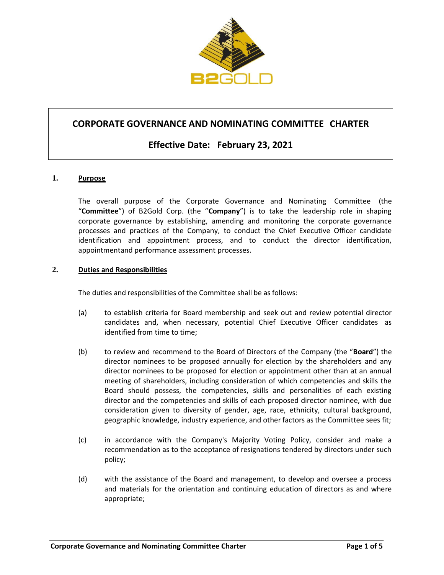

# **CORPORATE GOVERNANCE AND NOMINATING COMMITTEE CHARTER**

# **Effective Date: February 23, 2021**

# **1. Purpose**

The overall purpose of the Corporate Governance and Nominating Committee (the "**Committee**") of B2Gold Corp. (the "**Company**") is to take the leadership role in shaping corporate governance by establishing, amending and monitoring the corporate governance processes and practices of the Company, to conduct the Chief Executive Officer candidate identification and appointment process, and to conduct the director identification, appointmentand performance assessment processes.

#### **2. Duties and Responsibilities**

The duties and responsibilities of the Committee shall be as follows:

- (a) to establish criteria for Board membership and seek out and review potential director candidates and, when necessary, potential Chief Executive Officer candidates as identified from time to time;
- (b) to review and recommend to the Board of Directors of the Company (the "**Board**") the director nominees to be proposed annually for election by the shareholders and any director nominees to be proposed for election or appointment other than at an annual meeting of shareholders, including consideration of which competencies and skills the Board should possess, the competencies, skills and personalities of each existing director and the competencies and skills of each proposed director nominee, with due consideration given to diversity of gender, age, race, ethnicity, cultural background, geographic knowledge, industry experience, and other factors as the Committee sees fit;
- (c) in accordance with the Company's Majority Voting Policy, consider and make a recommendation as to the acceptance of resignations tendered by directors under such policy;
- (d) with the assistance of the Board and management, to develop and oversee a process and materials for the orientation and continuing education of directors as and where appropriate;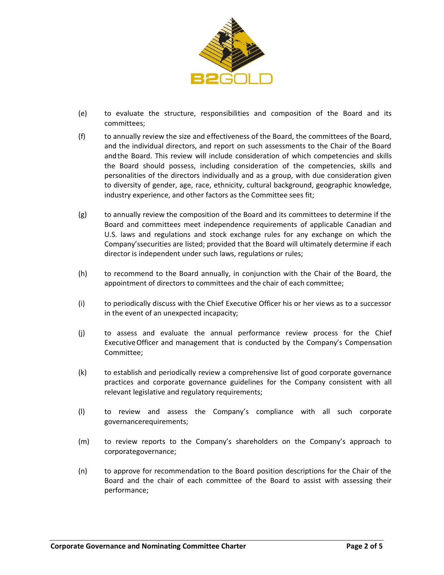

- (e) to evaluate the structure, responsibilities and composition of the Board and its committees;
- (f) to annually review the size and effectiveness of the Board, the committees of the Board, and the individual directors, and report on such assessments to the Chair of the Board andthe Board. This review will include consideration of which competencies and skills the Board should possess, including consideration of the competencies, skills and personalities of the directors individually and as a group, with due consideration given to diversity of gender, age, race, ethnicity, cultural background, geographic knowledge, industry experience, and other factors as the Committee sees fit;
- (g) to annually review the composition of the Board and its committees to determine if the Board and committees meet independence requirements of applicable Canadian and U.S. laws and regulations and stock exchange rules for any exchange on which the Company'ssecurities are listed; provided that the Board will ultimately determine if each director is independent under such laws, regulations or rules;
- (h) to recommend to the Board annually, in conjunction with the Chair of the Board, the appointment of directors to committees and the chair of each committee;
- (i) to periodically discuss with the Chief Executive Officer his or her views as to a successor in the event of an unexpected incapacity;
- (j) to assess and evaluate the annual performance review process for the Chief ExecutiveOfficer and management that is conducted by the Company's Compensation Committee;
- (k) to establish and periodically review a comprehensive list of good corporate governance practices and corporate governance guidelines for the Company consistent with all relevant legislative and regulatory requirements;
- (l) to review and assess the Company's compliance with all such corporate governancerequirements;
- (m) to review reports to the Company's shareholders on the Company's approach to corporategovernance;
- (n) to approve for recommendation to the Board position descriptions for the Chair of the Board and the chair of each committee of the Board to assist with assessing their performance;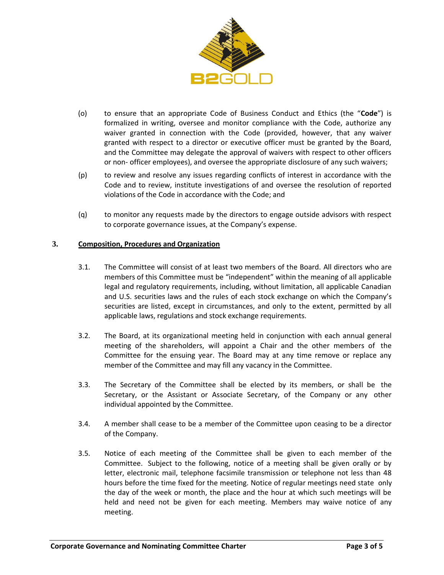

- (o) to ensure that an appropriate Code of Business Conduct and Ethics (the "**Code**") is formalized in writing, oversee and monitor compliance with the Code, authorize any waiver granted in connection with the Code (provided, however, that any waiver granted with respect to a director or executive officer must be granted by the Board, and the Committee may delegate the approval of waivers with respect to other officers or non- officer employees), and oversee the appropriate disclosure of any such waivers;
- (p) to review and resolve any issues regarding conflicts of interest in accordance with the Code and to review, institute investigations of and oversee the resolution of reported violations of the Code in accordance with the Code; and
- (q) to monitor any requests made by the directors to engage outside advisors with respect to corporate governance issues, at the Company's expense.

# **3. Composition, Procedures and Organization**

- 3.1. The Committee will consist of at least two members of the Board. All directors who are members of this Committee must be "independent" within the meaning of all applicable legal and regulatory requirements, including, without limitation, all applicable Canadian and U.S. securities laws and the rules of each stock exchange on which the Company's securities are listed, except in circumstances, and only to the extent, permitted by all applicable laws, regulations and stock exchange requirements.
- 3.2. The Board, at its organizational meeting held in conjunction with each annual general meeting of the shareholders, will appoint a Chair and the other members of the Committee for the ensuing year. The Board may at any time remove or replace any member of the Committee and may fill any vacancy in the Committee.
- 3.3. The Secretary of the Committee shall be elected by its members, or shall be the Secretary, or the Assistant or Associate Secretary, of the Company or any other individual appointed by the Committee.
- 3.4. A member shall cease to be a member of the Committee upon ceasing to be a director of the Company.
- 3.5. Notice of each meeting of the Committee shall be given to each member of the Committee. Subject to the following, notice of a meeting shall be given orally or by letter, electronic mail, telephone facsimile transmission or telephone not less than 48 hours before the time fixed for the meeting. Notice of regular meetings need state only the day of the week or month, the place and the hour at which such meetings will be held and need not be given for each meeting. Members may waive notice of any meeting.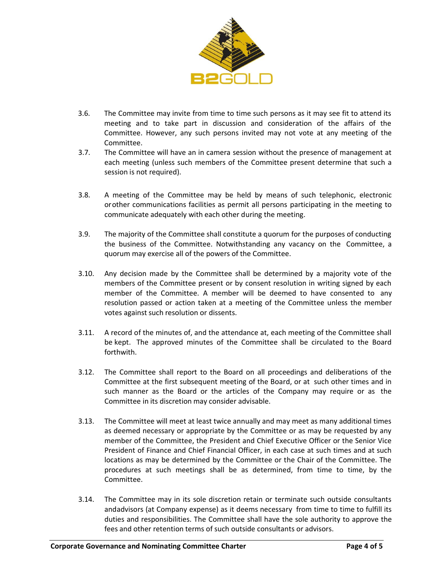

- 3.6. The Committee may invite from time to time such persons as it may see fit to attend its meeting and to take part in discussion and consideration of the affairs of the Committee. However, any such persons invited may not vote at any meeting of the Committee.
- 3.7. The Committee will have an in camera session without the presence of management at each meeting (unless such members of the Committee present determine that such a session is not required).
- 3.8. A meeting of the Committee may be held by means of such telephonic, electronic orother communications facilities as permit all persons participating in the meeting to communicate adequately with each other during the meeting.
- 3.9. The majority of the Committee shall constitute a quorum for the purposes of conducting the business of the Committee. Notwithstanding any vacancy on the Committee, a quorum may exercise all of the powers of the Committee.
- 3.10. Any decision made by the Committee shall be determined by a majority vote of the members of the Committee present or by consent resolution in writing signed by each member of the Committee. A member will be deemed to have consented to any resolution passed or action taken at a meeting of the Committee unless the member votes against such resolution or dissents.
- 3.11. A record of the minutes of, and the attendance at, each meeting of the Committee shall be kept. The approved minutes of the Committee shall be circulated to the Board forthwith.
- 3.12. The Committee shall report to the Board on all proceedings and deliberations of the Committee at the first subsequent meeting of the Board, or at such other times and in such manner as the Board or the articles of the Company may require or as the Committee in its discretion may consider advisable.
- 3.13. The Committee will meet at least twice annually and may meet as many additional times as deemed necessary or appropriate by the Committee or as may be requested by any member of the Committee, the President and Chief Executive Officer or the Senior Vice President of Finance and Chief Financial Officer, in each case at such times and at such locations as may be determined by the Committee or the Chair of the Committee. The procedures at such meetings shall be as determined, from time to time, by the Committee.
- 3.14. The Committee may in its sole discretion retain or terminate such outside consultants andadvisors (at Company expense) as it deems necessary from time to time to fulfill its duties and responsibilities. The Committee shall have the sole authority to approve the fees and other retention terms of such outside consultants or advisors.